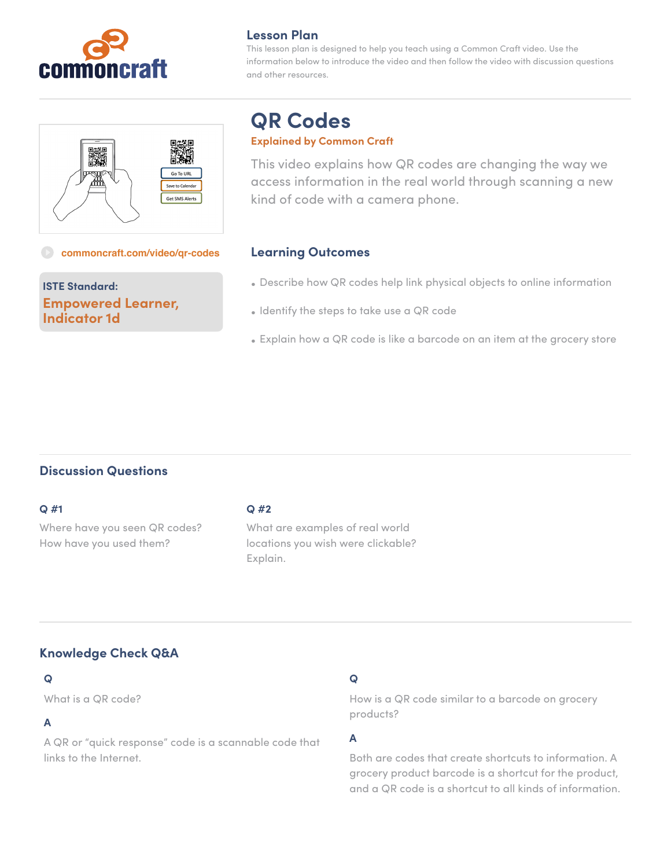

## **Lesson Plan**

This lesson plan is designed to help you teach using a Common Craft video. Use the information below to introduce the video and then follow the video with discussion questions and other resources.



# **QR Codes**

#### **Explained by Common Craft**

This video explains how QR codes are changing the way we access information in the real world through scanning a new kind of code with a camera phone.

#### **[commoncraft.com/video/qr-codes](http://commoncraft.com/video/qr-codes)**

# **ISTE Standard: Empowered Learner, Indicator 1d**

## **Learning Outcomes**

- Describe how QR codes help link physical objects to online information
- Identify the steps to take use a QR code
- Explain how a QR code is like a barcode on an item at the grocery store

## **Discussion Questions**

#### **Q #1**

Where have you seen QR codes? How have you used them?

### **Q #2**

What are examples of real world locations you wish were clickable? Explain.

# **Knowledge Check Q&A**

### **Q**

What is a QR code?

## **A**

A QR or "quick response" code is a scannable code that links to the Internet.

# **Q**

How is a QR code similar to a barcode on grocery products?

## **A**

Both are codes that create shortcuts to information. A grocery product barcode is a shortcut for the product, and a QR code is a shortcut to all kinds of information.